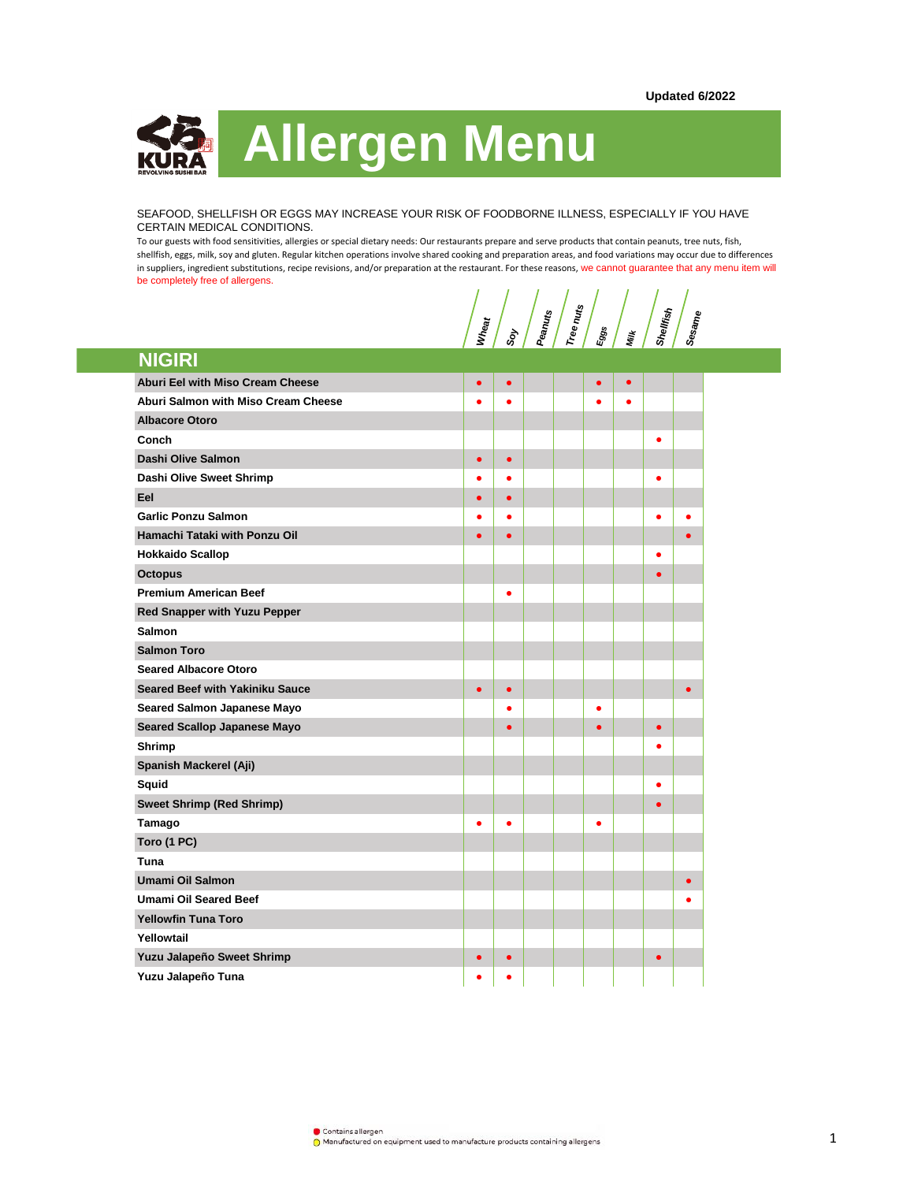

SEAFOOD, SHELLFISH OR EGGS MAY INCREASE YOUR RISK OF FOODBORNE ILLNESS, ESPECIALLY IF YOU HAVE CERTAIN MEDICAL CONDITIONS.

To our guests with food sensitivities, allergies or special dietary needs: Our restaurants prepare and serve products that contain peanuts, tree nuts, fish, shellfish, eggs, milk, soy and gluten. Regular kitchen operations involve shared cooking and preparation areas, and food variations may occur due to differences in suppliers, ingredient substitutions, recipe revisions, and/or preparation at the restaurant. For these reasons, we cannot guarantee that any menu item will be completely free of allergens.

**Wheat**<br> **Shellfish Shellfish Shellfish**<br> **Eggs Sesame**

| <b>NIGIRI</b>                           |           |           |  |           |           |           |           |
|-----------------------------------------|-----------|-----------|--|-----------|-----------|-----------|-----------|
| <b>Aburi Eel with Miso Cream Cheese</b> | $\bullet$ | $\bullet$ |  | $\bullet$ | $\bullet$ |           |           |
| Aburi Salmon with Miso Cream Cheese     | ٠         |           |  |           | ٠         |           |           |
| <b>Albacore Otoro</b>                   |           |           |  |           |           |           |           |
| Conch                                   |           |           |  |           |           | ٠         |           |
| Dashi Olive Salmon                      | $\bullet$ | $\bullet$ |  |           |           |           |           |
| Dashi Olive Sweet Shrimp                | ٠         | $\bullet$ |  |           |           | $\bullet$ |           |
| Eel                                     | $\bullet$ | $\bullet$ |  |           |           |           |           |
| <b>Garlic Ponzu Salmon</b>              | ٠         | ٠         |  |           |           | $\bullet$ |           |
| Hamachi Tataki with Ponzu Oil           | $\bullet$ | $\bullet$ |  |           |           |           |           |
| <b>Hokkaido Scallop</b>                 |           |           |  |           |           | $\bullet$ |           |
| <b>Octopus</b>                          |           |           |  |           |           | $\bullet$ |           |
| <b>Premium American Beef</b>            |           | ٠         |  |           |           |           |           |
| <b>Red Snapper with Yuzu Pepper</b>     |           |           |  |           |           |           |           |
| <b>Salmon</b>                           |           |           |  |           |           |           |           |
| <b>Salmon Toro</b>                      |           |           |  |           |           |           |           |
| <b>Seared Albacore Otoro</b>            |           |           |  |           |           |           |           |
| <b>Seared Beef with Yakiniku Sauce</b>  | $\bullet$ | $\bullet$ |  |           |           |           | $\bullet$ |
| Seared Salmon Japanese Mayo             |           |           |  |           |           |           |           |
| <b>Seared Scallop Japanese Mayo</b>     |           | ō         |  |           |           | $\bullet$ |           |
| Shrimp                                  |           |           |  |           |           |           |           |
| Spanish Mackerel (Aji)                  |           |           |  |           |           |           |           |
| Squid                                   |           |           |  |           |           | $\bullet$ |           |
| <b>Sweet Shrimp (Red Shrimp)</b>        |           |           |  |           |           | $\bullet$ |           |
| Tamago                                  | $\bullet$ | $\bullet$ |  | ٠         |           |           |           |
| Toro (1 PC)                             |           |           |  |           |           |           |           |
| Tuna                                    |           |           |  |           |           |           |           |
| Umami Oil Salmon                        |           |           |  |           |           |           |           |
| <b>Umami Oil Seared Beef</b>            |           |           |  |           |           |           |           |
| <b>Yellowfin Tuna Toro</b>              |           |           |  |           |           |           |           |
| Yellowtail                              |           |           |  |           |           |           |           |
| Yuzu Jalapeño Sweet Shrimp              | c         | $\bullet$ |  |           |           | $\bullet$ |           |
| Yuzu Jalapeño Tuna                      |           |           |  |           |           |           |           |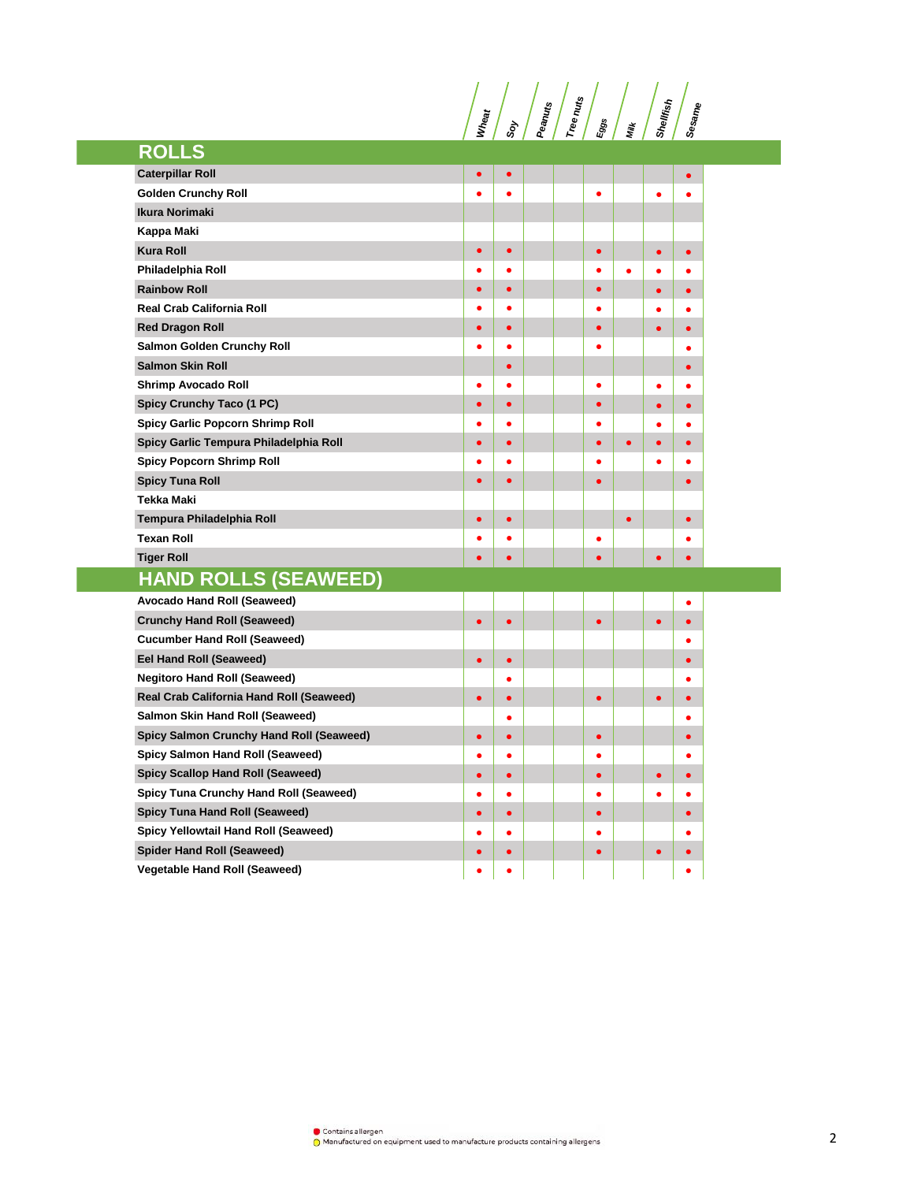**Wheat**<br> **Shellfish Indiana**<br> **Shellfish Shellfish** 

| <b>ROLLS</b>                             |           |           |  |           |           |           |           |
|------------------------------------------|-----------|-----------|--|-----------|-----------|-----------|-----------|
| <b>Caterpillar Roll</b>                  | $\bullet$ |           |  |           |           |           | $\bullet$ |
| <b>Golden Crunchy Roll</b>               |           | ٠         |  | $\bullet$ |           | $\bullet$ |           |
| <b>Ikura Norimaki</b>                    |           |           |  |           |           |           |           |
| Kappa Maki                               |           |           |  |           |           |           |           |
| <b>Kura Roll</b>                         |           | $\bullet$ |  | ō         |           | $\bullet$ | $\bullet$ |
| Philadelphia Roll                        |           | ٠         |  | ٠         | $\bullet$ |           |           |
| <b>Rainbow Roll</b>                      | ٠         | $\bullet$ |  |           |           | $\bullet$ | $\bullet$ |
| <b>Real Crab California Roll</b>         |           |           |  |           |           |           | $\bullet$ |
| <b>Red Dragon Roll</b>                   |           | ٠         |  |           |           | ٠         | $\bullet$ |
| <b>Salmon Golden Crunchy Roll</b>        |           | $\bullet$ |  | ●         |           |           | $\bullet$ |
| <b>Salmon Skin Roll</b>                  |           | $\bullet$ |  |           |           |           | $\bullet$ |
| <b>Shrimp Avocado Roll</b>               | $\bullet$ | $\bullet$ |  | $\bullet$ |           | $\bullet$ | $\bullet$ |
| Spicy Crunchy Taco (1 PC)                | $\bullet$ | $\bullet$ |  | $\bullet$ |           | $\bullet$ | $\bullet$ |
| Spicy Garlic Popcorn Shrimp Roll         | $\bullet$ | $\bullet$ |  | $\bullet$ |           | $\bullet$ | $\bullet$ |
| Spicy Garlic Tempura Philadelphia Roll   | $\bullet$ | $\bullet$ |  | $\bullet$ | $\bullet$ | $\bullet$ | $\bullet$ |
| <b>Spicy Popcorn Shrimp Roll</b>         | $\bullet$ | $\bullet$ |  | ٠         |           | $\bullet$ | $\bullet$ |
| <b>Spicy Tuna Roll</b>                   | $\bullet$ | $\bullet$ |  | $\bullet$ |           |           | $\bullet$ |
| <b>Tekka Maki</b>                        |           |           |  |           |           |           |           |
| Tempura Philadelphia Roll                | $\bullet$ | $\bullet$ |  |           | $\bullet$ |           | $\bullet$ |
| <b>Texan Roll</b>                        |           | ۵         |  | $\bullet$ |           |           |           |
| <b>Tiger Roll</b>                        |           | ۰         |  |           |           | $\bullet$ | $\bullet$ |
| <b>HAND ROLLS (SEAWEED)</b>              |           |           |  |           |           |           |           |
| Avocado Hand Roll (Seaweed)              |           |           |  |           |           |           |           |
| <b>Crunchy Hand Roll (Seaweed)</b>       | $\bullet$ | $\bullet$ |  | $\bullet$ |           | $\bullet$ | $\bullet$ |
| <b>Cucumber Hand Roll (Seaweed)</b>      |           |           |  |           |           |           | $\bullet$ |
| Eel Hand Roll (Seaweed)                  | $\bullet$ | $\bullet$ |  |           |           |           | $\bullet$ |
| <b>Negitoro Hand Roll (Seaweed)</b>      |           | $\bullet$ |  |           |           |           | $\bullet$ |
| Real Crab California Hand Roll (Seaweed) | $\bullet$ | $\bullet$ |  | $\bullet$ |           | $\bullet$ | $\bullet$ |
| Salmon Skin Hand Roll (Seaweed)          |           | $\bullet$ |  |           |           |           | ٠         |
| Spicy Salmon Crunchy Hand Roll (Seaweed) | $\bullet$ | $\bullet$ |  | $\bullet$ |           |           | $\bullet$ |
| Spicy Salmon Hand Roll (Seaweed)         |           |           |  |           |           |           |           |
| <b>Spicy Scallop Hand Roll (Seaweed)</b> | $\bullet$ | $\bullet$ |  | ٠         |           | $\bullet$ | $\bullet$ |
| Spicy Tuna Crunchy Hand Roll (Seaweed)   | $\bullet$ | $\bullet$ |  | ٠         |           |           | $\bullet$ |
| <b>Spicy Tuna Hand Roll (Seaweed)</b>    | $\bullet$ | $\bullet$ |  |           |           |           | $\bullet$ |
| Spicy Yellowtail Hand Roll (Seaweed)     | $\bullet$ | $\bullet$ |  |           |           |           | $\bullet$ |
| <b>Spider Hand Roll (Seaweed)</b>        | $\bullet$ |           |  |           |           | ٠         | $\bullet$ |
| <b>Vegetable Hand Roll (Seaweed)</b>     | ٠         | ٠         |  |           |           |           | ٠         |

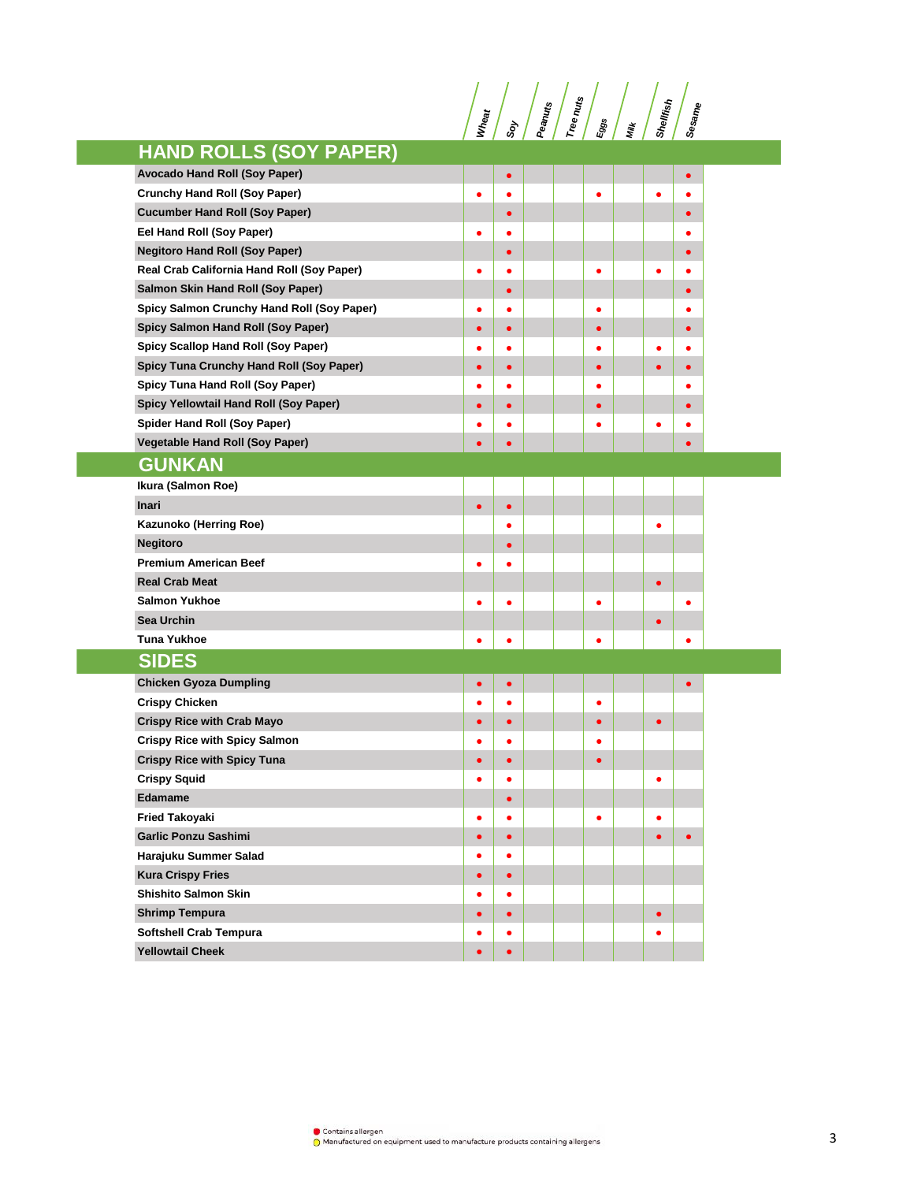**Wheat**<br> **Shellfish Indiana**<br> **Shellfish Shellfish** 

|                                            |           |           | $\sim$ $\prime$ | ш         | <u>=</u> | ן ני      |           |
|--------------------------------------------|-----------|-----------|-----------------|-----------|----------|-----------|-----------|
| <b>HAND ROLLS (SOY PAPER)</b>              |           |           |                 |           |          |           |           |
| Avocado Hand Roll (Soy Paper)              |           | $\bullet$ |                 |           |          |           | $\bullet$ |
| <b>Crunchy Hand Roll (Soy Paper)</b>       |           | $\bullet$ |                 |           |          |           | $\bullet$ |
| <b>Cucumber Hand Roll (Soy Paper)</b>      |           | $\bullet$ |                 |           |          |           | $\bullet$ |
| Eel Hand Roll (Soy Paper)                  |           | $\bullet$ |                 |           |          |           | ٠         |
| <b>Negitoro Hand Roll (Soy Paper)</b>      |           | $\bullet$ |                 |           |          |           | $\bullet$ |
| Real Crab California Hand Roll (Soy Paper) |           | ٠         |                 | ٠         |          | c         |           |
| Salmon Skin Hand Roll (Soy Paper)          |           | ٠         |                 |           |          |           |           |
| Spicy Salmon Crunchy Hand Roll (Soy Paper) | ٠         | ٠         |                 | ٠         |          |           | ٠         |
| Spicy Salmon Hand Roll (Soy Paper)         | $\bullet$ | $\bullet$ |                 | $\bullet$ |          |           | $\bullet$ |
| Spicy Scallop Hand Roll (Soy Paper)        | ٠         | $\bullet$ |                 | ٠         |          | ٠         | $\bullet$ |
| Spicy Tuna Crunchy Hand Roll (Soy Paper)   | $\bullet$ | $\bullet$ |                 | $\bullet$ |          | $\bullet$ | $\bullet$ |
| Spicy Tuna Hand Roll (Soy Paper)           |           | ٠         |                 | ٠         |          |           | ٠         |
| Spicy Yellowtail Hand Roll (Soy Paper)     |           | $\bullet$ |                 | ٠         |          |           | $\bullet$ |
| Spider Hand Roll (Soy Paper)               |           | O         |                 |           |          |           |           |
| Vegetable Hand Roll (Soy Paper)            |           | $\bullet$ |                 |           |          |           | $\bullet$ |
| <b>GUNKAN</b>                              |           |           |                 |           |          |           |           |
| Ikura (Salmon Roe)                         |           |           |                 |           |          |           |           |
| <b>Inari</b>                               | $\bullet$ | $\bullet$ |                 |           |          |           |           |
| Kazunoko (Herring Roe)                     |           | $\bullet$ |                 |           |          |           |           |
| <b>Negitoro</b>                            |           | $\bullet$ |                 |           |          |           |           |
| <b>Premium American Beef</b>               | ٠         | $\bullet$ |                 |           |          |           |           |
| <b>Real Crab Meat</b>                      |           |           |                 |           |          | $\bullet$ |           |
| <b>Salmon Yukhoe</b>                       |           | O         |                 |           |          |           |           |
| <b>Sea Urchin</b>                          |           |           |                 |           |          |           |           |
| <b>Tuna Yukhoe</b>                         |           | ٠         |                 | ٠         |          |           | ٠         |
| <b>SIDES</b>                               |           |           |                 |           |          |           |           |
| <b>Chicken Gyoza Dumpling</b>              |           | $\bullet$ |                 |           |          |           | $\bullet$ |
| <b>Crispy Chicken</b>                      |           | $\bullet$ |                 | ٠         |          |           |           |
| <b>Crispy Rice with Crab Mayo</b>          |           | $\bullet$ |                 | $\bullet$ |          | $\bullet$ |           |
| <b>Crispy Rice with Spicy Salmon</b>       |           | ٠         |                 | ٠         |          |           |           |
| <b>Crispy Rice with Spicy Tuna</b>         |           | $\bullet$ |                 | $\bullet$ |          |           |           |
| <b>Crispy Squid</b>                        |           | ٠         |                 |           |          |           |           |
| <b>Edamame</b>                             |           | ٠         |                 |           |          |           |           |
| <b>Fried Takoyaki</b>                      | ٠         | $\bullet$ |                 | ٠         |          | ٠         |           |
| <b>Garlic Ponzu Sashimi</b>                |           | $\bullet$ |                 |           |          | ٠         | $\bullet$ |
| Harajuku Summer Salad                      |           | ٠         |                 |           |          |           |           |
| <b>Kura Crispy Fries</b>                   | $\bullet$ | $\bullet$ |                 |           |          |           |           |
| <b>Shishito Salmon Skin</b>                |           | $\bullet$ |                 |           |          |           |           |
| <b>Shrimp Tempura</b>                      | $\bullet$ | $\bullet$ |                 |           |          | $\bullet$ |           |
| Softshell Crab Tempura                     |           | $\bullet$ |                 |           |          |           |           |
| <b>Yellowtail Cheek</b>                    |           | $\bullet$ |                 |           |          |           |           |